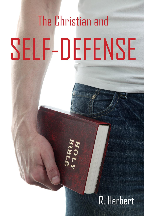# The Christian and SELF-DEFENSE

# R. Herbert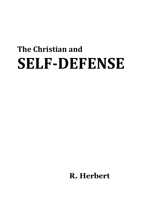# **The Christian and SELF-DEFENSE**

**R. Herbert**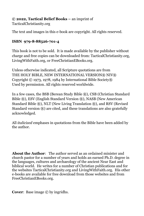**© 2022, Tactical Belief Books –** an imprint of

TacticalChristianity.org

The text and images in this e-book are copyright. All rights reserved.

#### **ISBN 979-8-88526-701-4**

This book is not to be sold. It is made available by the publisher without charge and free copies can be downloaded from: TacticalChristianity.org, LivingWithFaith.org, or FreeChristianEBooks.org.

Unless otherwise indicated, all Scripture quotations are from THE HOLY BIBLE, NEW INTERNATIONAL VERSION® NIV® Copyright © 1973, 1978, 1984 by International Bible Society® Used by permission. All rights reserved worldwide.

In a few cases, the BSB (Berean Study Bible ®), CSB (Christian Standard Bible ®), ESV (English Standard Version ®), NASB (New American Standard Bible ®), NLT (New Living Translation ®), and RSV (Revised Standard version  $\mathbb{R}$ ) are cited, and these translations are also gratefully acknowledged.

All *italicized* emphases in quotations from the Bible have been added by the author.

**About the Author**: The author served as an ordained minister and church pastor for a number of years and holds an earned Ph.D. degree in the languages, cultures and archaeology of the ancient Near East and biblical world. He writes for a number of Christian publications and for the websites TacticalChristianity.org and LivingWithFaith.org. His other e-books are available for free download from those websites and from FreeChristianEBooks.org.

**Cover:** Base image  $\odot$  by ingridhs.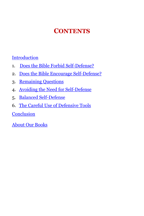# **CONTENTS**

[Introduction](#page-4-0)

- 1. [Does the Bible Forbid Self-Defense?](#page-5-0)
- 2. [Does the Bible Encourage Self-Defense?](#page-12-0)
- 3. Remaining Questions
- 4. [Avoiding the Need for Self-Defense](#page-21-0)
- 5. [Balanced Self-Defense](#page-25-0)
- 6. [The Careful Use of Defensive Tools](#page-30-0)

**[Conclusion](#page-35-0)** 

[About Our Books](#page-37-0)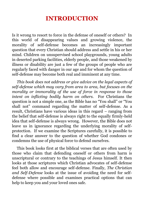### **INTRODUCTION**

<span id="page-4-0"></span>Is it wrong to resort to force in the defense of oneself or others? In this world of disappearing values and growing violence, the morality of self-defense becomes an increasingly important question that every Christian should address and settle in his or her mind. Children on unsupervised school playgrounds, young adults in deserted parking facilities, elderly people, and those weakened by illness or disability are just a few of the groups of people who are regularly faced with danger in our age and for whom the question of self-defense may become both real and imminent at any time.

*This book does not address or give advice on the legal aspects of self-defense which may vary from area to area, but focuses on the morality or immorality of the use of force in response to those intent on inflicting bodily harm on others.* For Christians the question is not a simple one, as the Bible has no "You shall" or "You shall not" command regarding the matter of self-defense. As a result, Christians have various ideas in this regard – ranging from the belief that self-defense is always right to the equally firmly-held idea that self-defense is always wrong. However, the Bible does not leave us in ignorance regarding the underlying morality of selfprotection. If we examine the Scriptures carefully, it is possible to find a clear answer to the question of whether God condones or condemns the use of physical force to defend ourselves.

This book looks first at the biblical verses that are often used by those who claim that defending oneself or others from harm is unscriptural or contrary to the teachings of Jesus himself. It then looks at those scriptures which Christian advocates of self-defense feel both allow and encourage self-defense. Finally, *The Christian and Self-Defense* looks at the issue of avoiding the need for selfdefense where possible and examines practical options that can help to keep you and your loved ones safe.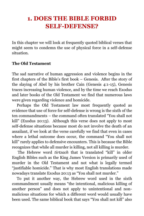# <span id="page-5-0"></span>**1. DOES THE BIBLE FORBID SELF-DEFENSE?**

In this chapter we will look at frequently quoted biblical verses that might seem to condemn the use of physical force in a self-defense situation.

#### **The Old Testament**

The sad narrative of human aggression and violence begins in the first chapters of the Bible's first book – Genesis. After the story of the slaying of Abel by his brother Cain (Genesis 4:1-15), Genesis traces increasing human violence, and by the time we reach Exodus and later books of the Old Testament we find that numerous laws were given regarding violence and homicide.

Perhaps the Old Testament law most frequently quoted as evidence that use of force for self-defense is wrong is the sixth of the ten commandments – the command often translated "You shall not kill" (Exodus 20:13). Although this verse does not apply to most self-defense situations because most do not involve the death of an assailant, if we look at the verse carefully we find that even in cases where a lethal outcome does occur, the command "You shall not kill" rarely applies to defensive encounters. This is because the Bible recognizes that while all murder is killing, not all killing is murder.

The Hebrew word *tirtzach* that is translated "kill" in older English Bibles such as the King James Version is primarily used of murder in the Old Testament and not what is legally termed "justifiable homicide." That is why most English translations made nowadays translate Exodus 20:13 as "You shall not murder."

To put it another way, the Hebrew word used in the sixth commandment usually means "the intentional, malicious killing of another person" and does not apply to unintentional and nonmalicious situations for which a different word would usually have been used. The same biblical book that says "You shall not kill" also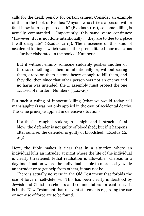calls for the death penalty for certain crimes. Consider an example of this in the book of Exodus: "Anyone who strikes a person with a fatal blow is to be put to death" (Exodus 21:12), so some killing is actually commanded. Importantly, this same verse continues: "However, if it is not done intentionally … they are to flee to a place I will designate" (Exodus 21:13). The innocence of this kind of accidental killing – which was neither premeditated nor malicious – is further elaborated in the book of Numbers:

But if without enmity someone suddenly pushes another or throws something at them unintentionally or, without seeing them, drops on them a stone heavy enough to kill them, and they die, then since that other person was not an enemy and no harm was intended, the … assembly must protect the one accused of murder. (Numbers 35:22-25)

But such a ruling of innocent killing (what we would today call manslaughter) was not only applied in the case of accidental deaths. The same principle applied in defensive situations:

If a thief is caught breaking in at night and is struck a fatal blow, the defender is not guilty of bloodshed; but if it happens after sunrise, the defender is guilty of bloodshed. (Exodus 22: 2-3)

Here, the Bible makes it clear that in a situation where an individual kills an intruder at night where the life of the individual is clearly threatened, lethal retaliation is allowable, whereas in a daytime situation where the individual is able to more easily evade an intruder or to get help from others, it may not be.

There is actually no verse in the Old Testament that forbids the use of force in self-defense. This has been clearly understood by Jewish and Christian scholars and commentators for centuries. It is in the New Testament that relevant statements regarding the use or non-use of force are to be found.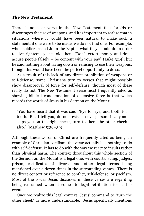#### **The New Testament**

There is no clear verse in the New Testament that forbids or discourages the use of weapons, and it is important to realize that in situations where it would have been natural to make such a statement, if one were to be made, we do not find one. For example, when soldiers asked John the Baptist what they should do in order to live righteously, he told them "Don't extort money and don't accuse people falsely  $-$  be content with your pay" (Luke  $3:14$ ), but he said nothing about laying down or refusing to use their weapons, though this would have been the perfect opportunity to do so.

As a result of this lack of any direct prohibition of weapons or self-defense, some Christians turn to verses that might possibly show disapproval of force for self-defense, though most of these really do not. The New Testament verse most frequently cited as showing biblical condemnation of defensive force is that which records the words of Jesus in his Sermon on the Mount:

"You have heard that it was said, 'Eye for eye, and tooth for tooth.' But I tell you, do not resist an evil person. If anyone slaps you on the right cheek, turn to them the other cheek also." (Matthew 5:38–39)

Although these words of Christ are frequently cited as being an example of Christian pacifism, the verse actually has nothing to do with self-defense. It has to do with the way we react to insults rather than physical harm. The context throughout this whole section of the Sermon on the Mount is a legal one, with courts, suing, judges, prison, certificates of divorce and other legal terms being mentioned over a dozen times in the surrounding verses. There is no direct context or reference to conflict, self-defense, or pacifism. Most of the issues Jesus discusses in these verses are regarding being restrained when it comes to legal retribution for earlier events.

Once we realize this legal context, Jesus' command to "turn the other cheek" is more understandable. Jesus specifically mentions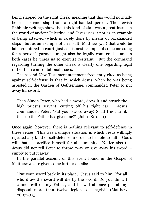being slapped on the right cheek, meaning that this would normally be a backhand slap from a right-handed person. The Jewish Rabbinic writings show that this kind of slap was a great insult in the world of ancient Palestine, and Jesus uses it not as an example of being attacked (which is rarely done by means of backhanded slaps), but as an example of an insult (Matthew 5:11) that could be later countered in court, just as his next example of someone suing for a person's garment might also be legally countered – and in both cases he urges us to exercise restraint. But the command regarding turning the other cheek is clearly one regarding legal rather than confrontational issues.

The second New Testament statement frequently cited as being against self-defense is that in which Jesus, when he was being arrested in the Garden of Gethsemane, commanded Peter to put away his sword:

Then Simon Peter, who had a sword, drew it and struck the high priest's servant, cutting off his right ear … Jesus commanded Peter, "Put your sword away! Shall I not drink the cup the Father has given me?" (John 18:10–11)

Once again, however, there is nothing relevant to self-defense in these verses. This was a unique situation in which Jesus willingly rejected any kind of self-defense in order to be able to fulfill God's will that he sacrifice himself for all humanity. Notice also that Jesus did not tell Peter to throw away or give away his sword – simply to put it away.

In the parallel account of this event found in the Gospel of Matthew we are given some further details:

"Put your sword back in its place," Jesus said to him, "for all who draw the sword will die by the sword. Do you think I cannot call on my Father, and he will at once put at my disposal more than twelve legions of angels?" (Matthew  $26:52-53)$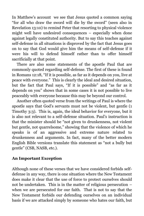In Matthew's account we see that Jesus quoted a common saying "for all who draw the sword will die by the sword" (seen also in Revelation 13:10) to remind Peter that resorting to physical violence might well have undesired consequences – especially when done against legally constituted authority. But to say this teaches against self-defense in all situations is disproved by the fact that Jesus goes on to say that God would give him the means of self-defense if it were his will to defend himself rather than to offer himself sacrificially at that point.

There are also some statements of the apostle Paul that are commonly quoted regarding self-defense. The first of these is found in Romans 12:18, "If it is possible, as far as it depends on you, live at peace with everyone." This is clearly the ideal and desired situation, but the fact that Paul says, "If it is possible" and "as far as it depends on you" shows that in some cases it is not possible to live peaceably with everyone because this may be beyond our control.

Another often quoted verse from the writings of Paul is where the apostle says that God's servants must not be violent, but gentle (1 Timothy 3:3). This is, again, the ideal behavior for everyone, but it is also not relevant to a self-defense situation. Paul's instruction is that the minister should be "not given to drunkenness, not violent but gentle, not quarrelsome," showing that the violence of which he speaks is of an aggressive and extreme nature related to drunkenness and arguments. In fact, many of the better modern English Bible versions translate this statement as "not a bully but gentle" (CSB, NASB, etc.).

#### **An Important Exception**

Although none of these verses that we have considered forbids selfdefense in any way, there is one situation where the New Testament does make it clear that the use of force to protect ourselves should not be undertaken. This is in the matter of religious persecution – when we are persecuted for our faith. That is not to say that the New Testament forbids our defending ourselves on an individual basis if we are attacked simply by someone who hates our faith, but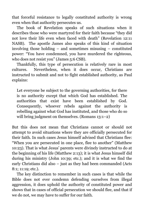that forceful resistance to legally constituted authority is wrong even when that authority persecutes us.

The book of Revelation speaks of such situations when it describes those who were martyred for their faith because "they did not love their life even when faced with death" (Revelation 12:11 NASB). The apostle James also speaks of this kind of situation involving those holding – and sometimes misusing – constituted power: "You have condemned, you have murdered the righteous, who does not resist you" (James 5:6 CSB).

Thankfully, this type of persecution is relatively rare in most cultures. Nevertheless, when it does occur, Christians are instructed to submit and not to fight established authority, as Paul explains:

Let everyone be subject to the governing authorities, for there is no authority except that which God has established. The authorities that exist have been established by God. Consequently, whoever rebels against the authority is rebelling against what God has instituted, and those who do so will bring judgment on themselves. (Romans 13:1–2)

But this does not mean that Christians cannot or should not attempt to avoid situations where they are officially persecuted for their faith. In such cases Jesus himself advised that Christians flee: "When you are persecuted in one place, flee to another" (Matthew 10:23). That is what Jesus' parents were divinely instructed to do at the beginning of his life (Matthew 2:13); it is what Jesus himself did during his ministry (John 10:39; etc.); and it is what we find the early Christians did also – just as they had been commanded (Acts 8:1; 11:19; etc.).

The key distinction to remember in such cases is that while the Bible does not ever condemn defending ourselves from illegal aggression, it does uphold the authority of constituted power and shows that in cases of official persecution we should flee, and that if we do not, we may have to suffer for our faith.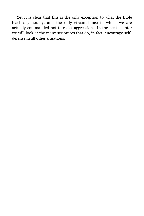Yet it is clear that this is the only exception to what the Bible teaches generally, and the only circumstance in which we are actually commanded not to resist aggression. In the next chapter we will look at the many scriptures that do, in fact, encourage selfdefense in all other situations.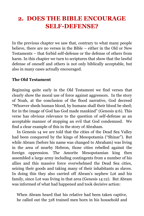# <span id="page-12-0"></span>**2. DOES THE BIBLE ENCOURAGE SELF-DEFENSE?**

In the previous chapter we saw that, contrary to what many people believe, there are no verses in the Bible – either in the Old or New Testaments – that forbid self-defense or the defense of others from harm. In this chapter we turn to scriptures that show that the lawful defense of oneself and others is not only biblically acceptable, but also in many cases actually encouraged.

#### **The Old Testament**

Beginning quite early in the Old Testament we find verses that clearly show the moral use of force against aggressors. In the story of Noah, at the conclusion of the flood narrative, God decreed "Whoever sheds human blood, by humans shall their blood be shed; for in the image of God has God made mankind" (Genesis 9:6). This verse has obvious relevance to the question of self-defense as an acceptable manner of stopping an evil that God condemned. We find a clear example of this in the story of Abraham.

In Genesis 14 we are told that the cities of the Dead Sea Valley had been conquered by the kings of Mesopotamia ("Shinar"). But while Abram (before his name was changed to Abraham) was living in the area of nearby Hebron, those cities rebelled against the foreign oppression. The Amorite Mesopotamian king then assembled a large army including contingents from a number of his allies and this massive force overwhelmed the Dead Sea cities, seizing their goods and taking many of their inhabitants as slaves. In doing this they also carried off Abram's nephew Lot and his family, since Lot was living in that area (Genesis 14:12). But Abram was informed of what had happened and took decisive action:

When Abram heard that his relative had been taken captive, he called out the 318 trained men born in his household and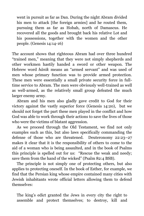went in pursuit as far as Dan. During the night Abram divided his men to attack [the foreign armies] and he routed them, pursuing them as far as Hobah, north of Damascus. He recovered all the goods and brought back his relative Lot and his possessions, together with the women and the other people. (Genesis 14:14-16)

The account shows that righteous Abram had over three hundred "trained men," meaning that they were not simply shepherds and other workmen hastily handed a sword or other weapon. The Hebrew word *hānīk* means an "armed servant" and was used of men whose primary function was to provide armed protection. These men were essentially a small private security force in fulltime service to Abram. The men were obviously well-trained as well as well-armed, as the relatively small group defeated the much larger enemy army.

Abram and his men also gladly gave credit to God for their victory against the vastly superior force (Genesis 14:20), but we should not forget the part these men played in the conflict and how God was able to work through their actions to save the lives of those who were the victims of blatant aggression.

As we proceed through the Old Testament, we find not only examples such as this, but also laws specifically commanding the defense of those who are threatened. Deuteronomy 22:23–27 makes it clear that it is the responsibility of others to come to the aid of a woman who is being assaulted, and in the book of Psalms this principle is spelled out for us: "Rescue the weak and needy; save them from the hand of the wicked" (Psalm 82:4 BSB).

The principle is not simply one of protecting others, but also applies to protecting oneself. In the book of Esther, for example, we find that the Persian king whose empire contained many cities with Jewish inhabitants wrote official letters allowing them to defend themselves:

The king's edict granted the Jews in every city the right to assemble and protect themselves; to destroy, kill and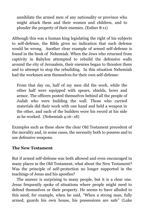annihilate the armed men of any nationality or province who might attack them and their women and children, and to plunder the property of their enemies. (Esther 8:11)

Although this was a human king legislating the right of his subjects to self-defense, the Bible gives no indication that such defense would be wrong. Another clear example of armed self-defense is found in the book of Nehemiah. When the Jews who returned from captivity in Babylon attempted to rebuild the defensive walls around the city of Jerusalem, their enemies began to threaten them and to attempt to stop the rebuilding. In this situation Nehemiah had the workmen arm themselves for their own self-defense:

From that day on, half of my men did the work, while the other half were equipped with spears, shields, bows and armor. The officers posted themselves behind all the people of Judah who were building the wall. Those who carried materials did their work with one hand and held a weapon in the other, and each of the builders wore his sword at his side as he worked. (Nehemiah 4:16–18)

Examples such as these show the clear Old Testament precedent of the morality and, in some cases, the necessity both to possess and to use defensive weapons.

#### **The New Testament**

But if armed self-defense was both allowed and even encouraged in many places in the Old Testament, what about the New Testament? Was the principle of self-protection no longer supported in the teachings of Jesus and his apostles?

The answer is surprising to many people, but it is a clear one. Jesus frequently spoke of situations where people might need to defend themselves or their property. He seems to have alluded to this need, for example, when he said, "When a strong man, fully armed, guards his own house, his possessions are safe" (Luke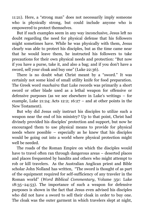11:21). Here, a "strong man" does not necessarily imply someone who is physically strong, but could include anyone who is empowered to protect themselves.

But if such examples seem in any way inconclusive, Jesus left no doubt regarding the need for physical defense that his followers might sometimes have. While he was physically with them, Jesus clearly was able to protect his disciples, but as the time came near that he would leave them, he instructed his followers to take precautions for their own physical needs and protection: "But now if you have a purse, take it, and also a bag; and if you don't have a sword, sell your cloak and buy one" (Luke 22:36).

There is no doubt what Christ meant by a "sword." It was certainly not some kind of small utility knife for food preparation. The Greek word *machaira* that Luke records was primarily a short sword or other blade used as a lethal weapon for offensive or defensive purposes (as we see elsewhere in Luke's writings – for example, Luke 21:24; Acts 12:2;  $16:27$  – and at other points in the New Testament).

But why did Jesus only instruct his disciples to utilize such a weapon near the end of his ministry? Up to that point, Christ had divinely provided his disciples' protection and support, but now he encouraged them to use physical means to provide for physical needs where possible – especially as he knew that his disciples would be going out into a world where physical protection might well be needed.

The roads of the Roman Empire on which the disciples would have to travel often ran through dangerous areas – deserted places and places frequented by bandits and others who might attempt to rob or kill travelers. As the Australian Anglican priest and Bible scholar John Nolland has written, "The sword is thought of as part of the equipment required for self-sufficiency of any traveler in the Roman world" (*Word Biblical Commentary*, Volume 35c: Luke 18:35–24:53). The importance of such a weapon for defensive purposes is shown in the fact that Jesus even advised his disciples who did not have a sword to sell their cloak in order to buy one. The cloak was the outer garment in which travelers slept at night,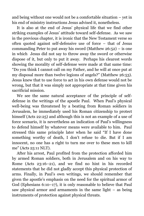and being without one would not be a comfortable situation – yet in his end of ministry instructions Jesus advised it, nonetheless.

It is also at the end of Jesus' physical life that we find other striking examples of Jesus' attitude toward self-defense. As we saw in the previous chapter, it is ironic that the New Testament verse so often quoted against self-defensive use of force – that of Jesus commanding Peter to put away his sword (Matthew  $26:52$ ) – is one in which Jesus did not say to throw away the sword or otherwise dispose of it, but only to put it away. Perhaps his clearest words showing the morality of self-defense were made at that same time: "Do you think I cannot call on my Father, and he will at once put at my disposal more than twelve legions of angels?" (Matthew 26:53). Jesus knew that to use force to act in his own defense would not be wrong, but that it was simply not appropriate at that time given his sacrificial mission.

We see the same natural acceptance of the principle of selfdefense in the writings of the apostle Paul. When Paul's physical well-being was threatened by a beating from Roman soldiers in Jerusalem, he immediately used his Roman citizenship to protect himself (Acts 22:25) and although this is not an example of a use of force scenario, it is nevertheless an indication of Paul's willingness to defend himself by whatever means were available to him. Paul stressed this same principle later when he said "If I have done something worthy of death, I don't refuse to die. But if I am innocent, no one has a right to turn me over to these men to kill me" (Acts 25:11 NLT).

After his arrest, Paul profited from the protection afforded him by armed Roman soldiers, both in Jerusalem and on his way to Rome (Acts 23:16–21), and we find no hint in his recorded statements that he did not gladly accept this physical protection of arms. Finally, in Paul's own writings, we should remember that given the apostle's emphasis on the need for the spiritual armor of God (Ephesians 6:10–17), it is only reasonable to believe that Paul saw physical armor and armaments in the same light – as being instruments of protection against physical threats.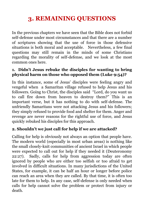# **3. REMAINING QUESTIONS**

In the previous chapters we have seen that the Bible does not forbid self-defense under most circumstances and that there are a number of scriptures showing that the use of force in those defensive situations is both moral and acceptable. Nevertheless, a few final questions may still remain in the minds of some Christians regarding the morality of self-defense, and we look at the most common ones here.

#### **1. Didn't Jesus rebuke the disciples for wanting to bring physical harm on those who opposed them (Luke 9:54)?**

In this instance, some of Jesus' disciples were feeling angry and vengeful when a Samaritan village refused to help Jesus and his followers. Going to Christ, the disciples said "Lord, do you want us to call fire down from heaven to destroy them?" This is an important verse, but it has nothing to do with self-defense. The unfriendly Samaritans were not attacking Jesus and his followers; they simply refused to provide food and shelter for them. Anger and revenge are never reasons for the rightful use of force, and Jesus quickly rebuked his disciples for this approach.

#### **2. Shouldn't we just call for help if we are attacked?**

Calling for help is obviously not always an option that people have. The modern world (especially in most urban areas) is nothing like the small closely-knit communities of ancient Israel in which people were expected to call out for help if they needed it (Deuteronomy 22:27). Sadly, calls for help from aggression today are often ignored by people who are either too selfish or too afraid to get involved in difficult situations. In many jurisdictions of the United States, for example, it can be half an hour or longer before police can reach an area when they are called. By that time, it is often too late for them to help. In any case, self-defense is only needed when calls for help cannot solve the problem or protect from injury or death.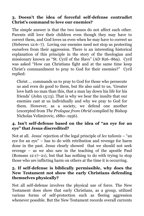#### **3. Doesn't the idea of forceful self-defense contradict Christ's command to love our enemies?**

The simple answer is that the two issues do not affect each other. Parents still love their children even though they may have to correct them, and God loves us even when he may have to correct us (Hebrews 12:6–7). Loving our enemies need not stop us protecting ourselves from their aggression. There is an interesting historical explanation of this principle in the story of the theologian and missionary known as "St. Cyril of the Slavs" (AD 826–869). Cyril was asked "How can Christians fight and at the same time keep Christ's commandment to pray to God for their enemies?" Cyril replied:

Christ … commands us to pray to God for those who persecute us and even do good to them, but He also said to us, 'Greater love hath no man than this, that a man lay down his life for his friends' (John 15:13). That is why we bear the insults that our enemies cast at us individually and why we pray to God for them. However, as a society, we defend one another (excerpted from *The Prologue from Ohrid* compiled by Bishop Nicholas Velimirovic, 1880–1956).

#### **4. Isn't self-defense based on the idea of "an eye for an eye" that Jesus discredited?**

Not at all. Jesus' rejection of the legal principle of *lex talionis* – "an eye for an eye" – has to do with retribution and revenge for harm done in the past. Jesus clearly showed that we should not seek revenge – as we also saw in the teaching of the apostle Paul (Romans 12:17–21), but that has nothing to do with trying to stop those who are inflicting harm on others at the time it is occurring.

#### **5. If self-defense is biblically permissible, why does the New Testament not show the early Christians defending themselves physically?**

Not all self-defense involves the physical use of force. The New Testament does show that early Christians, as a group, utilized various forms of self-protection such as fleeing aggression whenever possible. But the New Testament records overall currents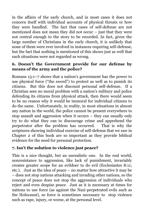in the affairs of the early church, and in most cases it does not concern itself with individual accounts of physical threats or how they were handled. The fact that cases of self-defense are not mentioned does not mean they did not occur – just that they were not central enough to the story to be recorded. In fact, given the large number of Christians in the early church, it is unlikely that none of them were ever involved in instances requiring self-defense, but the fact that nothing is mentioned of this shows just as well that such situations were not regarded as wrong.

#### **6. Doesn't the Government provide for our defense by means of the army and the police?**

Romans 13:1–7 shows that a nation's government has the power to use physical force ("the sword") to protect as well as to punish its citizens. But this does not discount personal self-defense. If a Christian sees no moral problem with a nation's military and police defending its citizens from physical attack, then there would seem to be no reason why it would be immoral for individual citizens to do the same. Unfortunately, in reality, in most situations in almost any nation in the world, the police cannot be present everywhere to stop assault and aggression when it occurs – they can usually only try to do what they can to discourage crime and apprehend the perpetrator after the problem has occurred. That is why the scriptures showing individual exercise of self-defense that we saw in Chapter 2 of this book are so important as they provide biblical evidence for the need for personal protection.

#### **7. Isn't the solution to violence just peace?**

This is a nice thought, but an unrealistic one. In the real world, nonresistance to aggression, like lack of punishment, invariably creates greater scope for an evildoer to do evil (Ecclesiastes 8:11; etc.). Just as the idea of peace – no matter how attractive it may be – does not stop nations attacking and invading other nations, so the concept of peace does not stop the aggression of individuals who reject and even despise peace. Just as it is necessary at times for nations to use force (as against the Nazi-perpetrated evils such as the Holocaust), so force is sometimes necessary to stop violence such as rape, injury, or worse, at the personal level.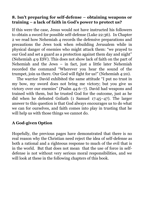#### **8. Isn't preparing for self-defense – obtaining weapons or training – a lack of faith in God's power to protect us?**

If this were the case, Jesus would not have instructed his followers to obtain a sword for possible self-defense (Luke 22:36). In Chapter 2 we read how Nehemiah 4 records the defensive preparations and precautions the Jews took when rebuilding Jerusalem while in physical danger of enemies who might attack them: "we prayed to our God and set a guard as a protection against them day and night" (Nehemiah 4:9 ESV). This does not show lack of faith on the part of Nehemiah and the Jews – in fact, just a little later Nehemiah recorded the command "Wherever you hear the sound of the trumpet, join us there. Our God will fight for us!" (Nehemiah 4:20).

The warrior David exhibited the same attitude "I put no trust in my bow, my sword does not bring me victory; but you give us victory over our enemies" (Psalm 44:6–7). David had weapons and trained with them, but he trusted God for the outcome, just as he did when he defeated Goliath (1 Samuel 17:45–47). The larger answer to this question is that God always encourages us to do what we can for ourselves, and faith comes into play in trusting that he will help us with those things we cannot do.

#### **A God-given Option**

Hopefully, the previous pages have demonstrated that there is no real reason why the Christian need reject the idea of self-defense as both a rational and a righteous response to much of the evil that is in the world. But that does not mean that the use of force in selfdefense is not without very serious moral responsibilities, and we will look at these in the following chapters of this book.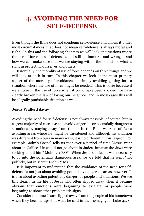## <span id="page-21-0"></span>**4. AVOIDING THE NEED FOR SELF-DEFENSE**

Even though the Bible does not condemn self-defense and allows it under most circumstances, that does not mean self-defense is always moral and right. In this and the following chapters we will look at situations where the use of force in self-defense could still be immoral and wrong – and how we can make sure that we are staying within the bounds of what is right in protecting ourselves and others.

Essentially, the morality of use of force depends on three things and we will look at each in turn. In this chapter we look at the most primary aspect of the morality of avoidance – simply avoiding getting into a situation where the use of force might be needed. This is basic because if we engage in the use of force when it could have been avoided, we have clearly broken the law of loving our neighbor, and in most cases this will be a legally punishable situation as well.

#### **Jesus Walked Away**

Avoiding the need for self-defense is not always possible, of course, but in a great majority of cases we can avoid dangerous or potentially dangerous situations by staying away from them. In the Bible we read of Jesus avoiding areas where he might be threatened and although his situation was different from ours in many ways, it is no different in this aspect. For example, John's Gospel tells us that over a period of time "Jesus went about in Galilee. He would not go about in Judea, because the Jews were seeking to kill him" (John 7:1 ESV). When Jesus did feel it was necessary to go into the potentially dangerous area, we are told that he went "not publicly, but in secret" (John 7:10).

It is important to understand that the avoidance of the need for selfdefense is not just about avoiding potentially dangerous areas, however. It is also about avoiding potentially dangerous people and situations. We see this clearly in the life of Jesus who often slipped away when it became obvious that emotions were beginning to escalate, or people were beginning to show other problematic signs.

Consider the time Jesus slipped away from the people of his hometown when they became upset at what he said in their synagogue (Luke 4:28–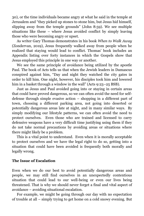30), or the time individuals became angry at what he said in the temple at Jerusalem and "they picked up stones to stone him, but Jesus hid himself, slipping away from the temple grounds" (John 8:59). We see multiple situations like these – where Jesus avoided conflict by simply leaving those who were becoming angry or upset.

As writer Gary Thomas demonstrates in his book *When to Walk Away*  (Zondervan, 2019), Jesus frequently walked away from people when he realized that staying would lead to conflict. Thomas' book includes an Appendix listing over forty instances in which the Gospels show that Jesus employed this principle in one way or another.

We see the same principle of avoidance being utilized by the apostle Paul. The book of Acts tells us that when the Jewish leaders in Damascus conspired against him, "Day and night they watched the city gates in order to kill him. One night, however, his disciples took him and lowered him in a basket through a window in the wall" (Acts 9:23–25 BSB).

Just as Jesus and Paul avoided going into or staying in certain areas that could have proved dangerous, so we can often avoid the need for selfdefense through simple evasive action – shopping in a different part of town, choosing a different parking area, not going into deserted or potentially dangerous areas late at night, and in many similar ways. By simply modifying our lifestyle patterns, we can often avoid the need to protect ourselves. Even those who are trained and licensed to carry defensive weapons have a very difficult time justifying using them if they do not take normal precautions by avoiding areas or situations where there might likely be a problem.

This is a vital point to understand. Even when it is morally acceptable to protect ourselves and we have the legal right to do so, getting into a situation that could have been avoided is frequently both morally and legally wrong.

#### **The Issue of Escalation**

Even when we do our best to avoid potentially dangerous areas and people, we may still find ourselves in an unexpectedly contentious situation that could lead to our well-being or even our lives being threatened. That is why we should never forget a final and vital aspect of avoidance – avoiding situational escalation.

For example, we might be going through our day with no expectation of trouble at all – simply trying to get home on a cold snowy evening. But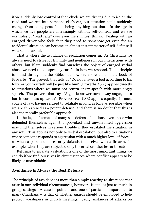if we suddenly lose control of the vehicle we are driving due to ice on the road and we run into someone else's car, our situation could suddenly change from being peaceful to being anything but that. In the age in which we live people are increasingly without self-control, and we see examples of "road rage" over even the slightest things. Dealing with an enraged driver who feels that they need to somehow get even for an accidental situation can become an almost instant matter of self-defense if we are not careful.

That is where the avoidance of escalation comes in. As Christians we always need to strive for humility and gentleness in our interactions with others, but if we suddenly find ourselves the object of enraged verbal abuse we need to be especially careful in how we respond. This principle is found throughout the Bible, but nowhere more than in the book of Proverbs. The proverb that tells us "Do not answer a fool according to his folly, or you yourself will be just like him" (Proverbs 26:4) applies directly to situations where we must not return angry speech with more angry speech. The proverb that says "A gentle answer turns away anger, but a harsh word stirs up wrath" (Proverbs 15:1 CSB) applies equally. In most courts of law, having refused to retaliate in kind as long as possible when we are threatened is a potent defense, and there is no doubt that this is also the morally preferable approach.

In the legal aftermath of many self-defense situations, even those who defended themselves against unprovoked and unwarranted aggression may find themselves in serious trouble if they escalated the situation in any way. This applies not only to verbal escalation, but also to situations where someone responds to aggression with a much higher level of force – as when a person unnecessarily defends themselves with a firearm, for example, when they are subjected only to verbal or other lesser threats.

Refusing to escalate a situation is one of the most important things we can do if we find ourselves in circumstances where conflict appears to be likely or unavoidable.

#### **Avoidance Is Always the Best Defense**

The principle of avoidance is more than simply reacting to situations that arise in our individual circumstances, however. It applies just as much in group settings. A case in point – and one of particular importance to many Christians – is that of whether guards should be employed to help protect worshipers in church meetings. Sadly, instances of attacks on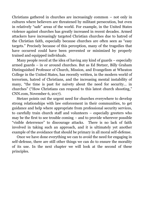Christians gathered in churches are increasingly common – not only in cultures where believers are threatened by militant persecution, but even in relatively "safe" areas of the world. For example, in the United States violence against churches has greatly increased in recent decades. Armed attackers have increasingly targeted Christian churches due to hatred of the Christian faith, especially because churches are often seen as "easy targets." Precisely because of this perception, many of the tragedies that have occurred could have been prevented or minimized by properly trained and equipped individuals.

Many people recoil at the idea of having any kind of guards – especially armed guards – in or around churches. But as Ed Stetzer, Billy Graham Distinguished Professor of Church, Mission, and Evangelism at Wheaton College in the United States, has recently written, in the modern world of terrorism, hatred of Christians, and the increasing mental instability of many, "the time is past for naivety about the need for security… in churches" ("How Christians can respond to this latest church shooting," CNN.com, November 6, 2017).

Stetzer points out the urgent need for churches everywhere to develop strong relationships with law enforcement in their communities, to get guidance and help where appropriate from professional security services, to carefully train church staff and volunteers – especially greeters who may be the first to see trouble coming – and to provide wherever possible "visible deterrence" to discourage attacks. There is no lack of faith involved in taking such an approach, and it is ultimately yet another example of the avoidance that should be primary in all moral self-defense.

Once we have done everything we can to avoid the need for engaging in self-defense, there are still other things we can do to ensure the morality of its use. In the next chapter we will look at the second of these principles.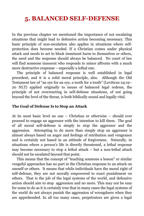# <span id="page-25-0"></span>**5. BALANCED SELF-DEFENSE**

In the previous chapter we mentioned the importance of not escalating situations that might lead to defensive action becoming necessary. This basic principle of non-escalation also applies in situations where selfprotection does become needed. If a Christian comes under physical attack and needs to act to block imminent harm to themselves or others, the need and the response should always be balanced. No court of law will find someone innocent who responds to minor affronts with a much more destructive response – especially a lethal one.

The principle of balanced response is well established in legal precedent, and it is a solid moral principle, also. Although the Old Testament law of "an eye for an eye, a tooth for a tooth" (Leviticus 24:19– 20 NLT) applied originally to issues of balanced legal redress, the principle of not overreacting in self-defense situations, of not going beyond the level of the threat, is both biblically sound and legally vital.

#### **The Goal of Defense Is to Stop an Attack**

At its most basic level no one – Christian or otherwise – should ever proceed to engage an aggressor with the intention to kill them. The goal of all moral self-defense is simply to *stop* the aggressor and the aggression. Attempting to do more than simply stop an aggressor is almost always based on anger and feelings of retribution and vengeance and is certainly not based in an attitude of forgiveness. Naturally, in situations where a person's life is directly threatened, a lethal response may become necessary to stop a lethal attack – but a non-lethal attack should not be escalated beyond that point.

This means that the concept of "teaching someone a lesson" or similar vengeful approaches has no part in the Christian response to an attack on oneself or others. It means that while individuals have the moral right of self-defense, they are not morally empowered to exact punishment on others. That is the job of the legal systems of the world, and defensive action should aim to stop aggression and no more. This may not be easy for some to do as it is certainly true that in many cases the legal systems of the world do not always punish the aggression of wrongdoers when they are apprehended. In all too many cases, perpetrators are given a legal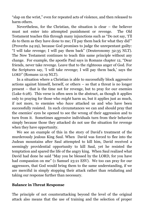"slap on the wrist," even for repeated acts of violence, and then released to harm others.

Nevertheless, for the Christian, the situation is clear – the believer must not enter into attempted punishment or revenge. The Old Testament teaches this through many injunctions such as "Do not say, 'I'll do to them as they have done to me; I'll pay them back for what they did'" (Proverbs 24:29), because God promises to judge the unrepentant guilty: "I will take revenge; I will pay them back" (Deuteronomy 32:35 NLT). The New Testament continues to teach this same principle without any change. For example, the apostle Paul says in Romans chapter 12, "Dear friends, never take revenge. Leave that to the righteous anger of God. For the Scriptures say, 'I will take revenge; I will pay them back,' says the LORD" (Romans 12:19 NLT).

In a situation where a Christian is able to successfully block aggressive actions against himself, herself, or others – so that a threat is no longer present – that is the time not for revenge, but to pray for our enemies (Luke 6:28). This verse is often seen in the abstract, as though it applies only to praying for those who *might* harm us, but it applies just as much, if not more, to enemies who *have* attacked us and who have been successfully resisted. In such circumstances we can and should pray that the enemies' eyes be opened to see the wrong of their aggression and to turn from it. Sometimes aggressive individuals turn from their behavior simply because those they attacked do not use the situation for revenge when they have opportunity.

We see an example of this in the story of David's treatment of the murderously jealous King Saul. When David was forced to flee into the Judean mountains after Saul attempted to kill him, David received a seemingly providential opportunity to kill Saul, yet he resisted the temptation and spared the life of the angry king. When Saul realized what David had done he said "May you be blessed by the LORD, for you have had compassion on me" (1 Samuel 23:21 ESV). We too can pray for our aggressors, that God would bring them to the same understanding, if we are merciful in simply stopping their attack rather than retaliating and taking our response further than necessary.

#### **Balance in Threat Response**

The principle of not counterattacking beyond the level of the original attack also means that the use of training and the selection of proper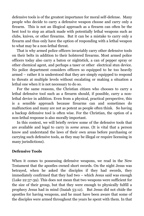defensive tools is of the greatest importance for moral self-defense. Many people who decide to carry a defensive weapon choose and carry only a firearm. This is not an illogical approach as a firearm can often be the best tool to stop an attack made with potentially lethal weapons such as clubs, knives, or other firearms. But it can be a mistake to carry only a firearm and thus only have the option of responding with a lethal weapon to what may be a non-lethal threat.

That is why armed police officers invariably carry other defensive tools on their belts in addition to their holstered firearms. Most armed police officers today also carry a baton or nightstick, a can of pepper spray or other chemical agent, and perhaps a taser or other electrical stun device. No police department considers officers so equipped to be too heavily armed – rather it is understood that they are simply equipped to respond to threats at multiple levels without escalating or making a situation a lethal one when it is not necessary to do so.

For the same reasons, the Christian citizen who chooses to carry a lethal defensive tool such as a firearm should, if possible, carry a nonlethal device in addition. Even from a physical, practical perspective, this is a sensible approach because firearms can and sometimes do malfunction and many are not as potent as people often think. So having a backup defensive tool is often wise. For the Christian, the option of a non-lethal response is also morally important.

In this context, we will briefly review some of the defensive tools that are available and legal to carry in *some* areas. (It is vital that a person know and understand the laws of their own areas before purchasing or carrying such defensive tools, as they may be illegal or require licensing in many jurisdictions).

#### **Defensive Tools**

When it comes to possessing defensive weapons, we read in the New Testament that the apostles owned short swords. On the night Jesus was betrayed, when he asked the disciples if they had swords, they immediately confirmed that they had two – which Jesus said was enough (Luke 22:37-39). This does not mean that two weapons were sufficient for the size of their group, but that they were enough to physically fulfill a prophecy Jesus had in mind (Isaiah 53:12). But Jesus did not chide the apostles for having weapons, and he must have been aware that some of the disciples were armed throughout the years he spent with them. In that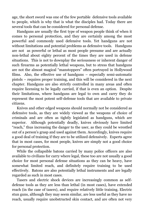age, the short sword was one of the few portable defensive tools available to people, which is why that is what the disciples had. Today there are several tools that can be considered for personal defense.

Handguns are usually the first type of weapon people think of when it comes to personal protection, and they are certainly among the most powerful and commonly used defensive tools. Yet handguns are not without limitations and potential problems as defensive tools. Handguns are not as powerful or lethal as most people presume and are actually non-lethal about eighty percent of the times they are used in defense situations. This is not to downplay the seriousness or inherent danger of such firearms as potentially lethal weapons, but to stress that handguns are not the almost magical "manstoppers" often portrayed in Hollywood films. Also, the effective use of handguns – especially semi-automatic pistols – requires proper training, and this will be considered in the next chapter. Handguns are also strictly controlled in many areas and often require licensing to be legally carried, if that is even an option. Despite their limitations, where handguns are legal to own and carry they do represent the most potent self-defense tools that are available to private citizens.

Knives and other edged weapons should normally not be considered as defensive tools, as they are widely viewed as the weapons of choice of criminals and are often as tightly legislated as handguns, which are superior. Although potentially deadly, knives obviously have limited "reach," thus increasing the danger to the user, as they could be wrestled out of a person's grasp and used against them. Accordingly, knives require a good deal of training if they are to be utilized defensively. Experts agree that in most cases, for most people, knives are simply not a good choice for personal protection.

While the collapsible batons carried by many police officers are also available to civilians for carry where legal, these too are not usually a good choice for most personal defense situations as they can be heavy, have somewhat limited reach, and definitely require training to be used effectively. Batons are also potentially lethal instruments and are legally regarded as such in most cases.

Tasers and electric shock devices are increasingly common as selfdefense tools as they are less than lethal (in most cases), have extended reach (in the case of tasers), and require relatively little training. Electric stun guns, although they may seem similar, are less useful as they have no reach, usually require unobstructed skin contact, and are often not very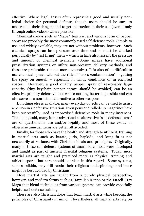effective. Where legal, tasers often represent a good and usually nonlethal choice for personal defense, though users should be sure to understand their dangers and to get instruction in their use (even if only through online videos) where possible.

Chemical sprays such as "Mace," tear gas, and various form of pepper spray are probably the most commonly used self-defense tools. Simple to use and widely available, they are not without problems, however. Such chemical sprays can lose pressure over time and so must be checked periodically by "test firing" them – which in time also lessens the pressure and amount of chemical available. (Some sprays have additional pressurization systems or utilize non-pressure delivery methods, and these are preferable, though more expensive). It is also often difficult to use chemical sprays without the risk of "cross contamination" – getting the spray on oneself – especially in windy conditions or in enclosed spaces. However, a good quality pepper spray of reasonably large capacity (tiny keychain pepper sprays should be avoided) can be an effective primary defensive tool where nothing better is possible and can also serve as a non-lethal alternative to other weapons.

If nothing else is available, many everyday objects can be used to assist a person in a defensive situation. Even pens and rolled-up magazines have been successfully used as improvised defensive tools in many instances. That being said, many items advertised as alternative "self-defense items" are of questionable use and/or legality and most of these exotic or otherwise unusual items are better off avoided.

Finally, for those who have the health and strength to utilize it, training in martial arts such as karate, judo, hapkido, and kung fu is not necessarily at variance with Christian ideals and principles. Originally, many of these self-defense systems of unarmed combat were developed and taught as part of ancient Oriental religious systems. Today, most martial arts are taught and practiced more as physical training and athletic sports, but care should be taken in this regard. Some systems, such as aikido, may still retain their religious underpinnings and these might be best avoided by Christians.

Most martial arts are taught from a purely physical perspective, however, and modern forms such as Hawaiian Kenpo or the Israeli Krav Maga that blend techniques from various systems can provide especially helpful self-defense training.

There are also Christian dojos that teach martial arts while keeping the principles of Christianity in mind. Nevertheless, all martial arts rely on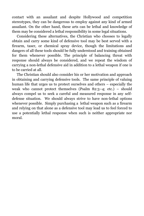contact with an assailant and despite Hollywood and competition stereotypes, they can be dangerous to employ against any kind of armed assailant. On the other hand, these arts can be lethal and knowledge of them may be considered a lethal responsibility in some legal situations.

Considering these alternatives, the Christian who chooses to legally obtain and carry some kind of defensive tool may be best served with a firearm, taser, or chemical spray device, though the limitations and dangers of all these tools should be fully understood and training obtained for them whenever possible. The principle of balancing threat with response should always be considered, and we repeat the wisdom of carrying a non-lethal defensive aid in addition to a lethal weapon if one is to be carried at all.

<span id="page-30-0"></span>The Christian should also consider his or her motivation and approach in obtaining and carrying defensive tools. The same principle of valuing human life that urges us to protect ourselves and others – especially the weak who cannot protect themselves (Psalm 82:3–4; etc.) – should always compel us to seek a careful and measured response in any selfdefense situation. We should always strive to have non-lethal options whenever possible. Simply purchasing a lethal weapon such as a firearm and relying on that alone as a defensive tool may lead us to feel forced to use a potentially lethal response when such is neither appropriate nor moral.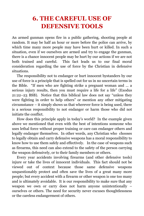# **6. THE CAREFUL USE OF DEFENSIVE TOOLS**

An armed gunman opens fire in a public gathering, shooting people at random. It may be half an hour or more before the police can arrive, by which time many more people may have been hurt or killed. In such a situation, even if we ourselves are armed and try to engage the gunman, there is a chance innocent people may be hurt by our actions if we are not both trained and careful. This fact leads us to our final moral consideration regarding the use of force by the Christian in defensive situations.

The responsibility not to endanger or hurt innocent bystanders by our use of force is a principle that is spelled out for us in no uncertain terms in the Bible. "If men who are fighting strike a pregnant woman and … a serious injury results, then you must require a life for a life" (Exodus 21:22–23 BSB). Notice that this biblical law does not say "unless they were fighting in order to help others" or mention any other mitigating circumstance – it simply shows us that wherever force is being used, there is a serious responsibility to not endanger or harm those who did not initiate the conflict.

How does this principle apply in today's world? In the example given above we mentioned that even with the best of intentions someone who uses lethal force without proper training or care can endanger others and legally endanger themselves. In other words, any Christian who chooses to legally obtain and carry defensive weapons has a moral responsibility to know how to use them safely and effectively. In the case of weapons such as firearms, this need can also extend to the safety of the person carrying the weapon defensively, or to their family members or others.

Every year accidents involving firearms (and other defensive tools) injure or take the lives of innocent individuals. This fact should not be viewed out of context because those same defensive weapons unquestionably protect and often save the lives of a great many more people; but every accident with a firearm or other weapon is one too many and is ultimately avoidable. It is our responsibility to make sure that any weapon we own or carry does not harm anyone unintentionally – ourselves or others. The need for security never excuses thoughtlessness or the careless endangerment of others.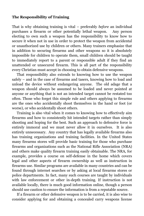#### **The Responsibility of Training**

That is why obtaining training is vital – preferably *before* an individual purchases a firearm or other potentially lethal weapon. Any person electing to own such a weapon has the responsibility to know how to secure it when not in use in order to protect the weapon from accidental or unauthorized use by children or others. Many trainers emphasize that in addition to securing firearms and other weapons so it is absolutely impossible for children to operate them, small children should be taught to immediately report to a parent or responsible adult if they find an unattended or unsecured firearm. This is all part of the responsibility every Christian must accept in choosing to obtain defensive weapons.

That responsibility also extends to knowing how to use the weapon safely – and in the case of firearms and tasers, knowing how to load and unload the device without endangering anyone. The old adage that a weapon should always be assumed to be loaded and never pointed at anyone or anything that is not an intended target cannot be restated too often. Those who forget this simple rule and others applying to firearms are the ones who accidentally shoot themselves in the hand or foot (or worse), or who accidentally shoot others.

Training is also vital when it comes to knowing how to effectively aim firearms and how to consistently hit intended targets rather than simply shooting and hoping for the best. Such an approach to defensive force is entirely immoral and we must never allow it in ourselves. It is also entirely unnecessary. Any country that has legally available firearms also has training organizations and training facilities. In the United States many firearms stores will provide basic training for those who purchase firearms and organizations such as the National Rifle Association (NRA) and others make quality firearm training easily obtainable. The NRA, for example, provides a course on self-defense in the home which covers legal and other aspects of firearm ownership as well as instruction in firearms use. Similar programs are available in many countries and can be found through internet searches or by asking at local firearms stores or police departments. In fact, many such courses are taught by individuals with law enforcement or other in-depth training. If instruction is not available locally, there is much good information online, though a person should use caution to ensure the information is from a reputable source.

If a firearm or other defensive weapon is to be carried, it is also wise to consider applying for and obtaining a concealed carry weapons license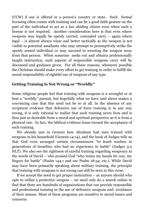(CCW) if one is offered in a person's country or state. Such formal licensing often comes with training and can be a good faith gesture on the part of the individual to act as a law abiding citizen even when such a license is not required. Another consideration here is that even where weapons may legally be openly carried, concealed carry – again where legal – is almost always wiser and better tactically as the weapon is not visible to potential assailants who may attempt to preemptively strike the openly armed individual or may succeed in wresting the weapon away from that person. When someone seeks out and obtains professionally taught instruction, such aspects of responsible weapons carry will be discussed and guidance given. For all these reasons, whenever possible the Christian should make every effort to get training in order to fulfill the moral responsibility of rightful use of weapons of any type.

#### **Getting Training Is Not Wrong or "Worldly"**

Some religious people feel that training with weapons is a wrongful or at best a "worldly" pursuit, but hopefully what we have said above makes a convincing case that this need not be so at all. In the absence of any scriptural evidence that defensive use of force training is in any way wrong, it is only rational to realize that such training saves lives and is thus just as desirable from a moral and spiritual perspective as it is from a physical one. In fact, the biblical evidence leans toward the acceptance of such training.

We already saw in Genesis how Abraham had men trained with weapons in his household (Genesis 14:14), and the book of Judges tells us that God even arranged certain circumstances "to teach warfare to generations of Israelites who had no experience in battle" (Judges 3:2 NLT). We also see the rightness of careful training regarding weaponry in the words of David – who praised God "who trains my hands for war, my fingers for battle" (Psalm 144:1 and see Psalm 18:34; etc.). While David may have been primarily speaking about military training, the principle that training with weapons is not wrong can still be seen in this verse.

If we accept the need to get proper instruction  $-$  as anyone should who opts to utilize a protective weapon – we need only do a search online to find that there are hundreds of organizations that can provide responsible and professional training in the use of defensive weapons and avoidance of their misuse. Most of these programs are sensitive to moral issues and concerns.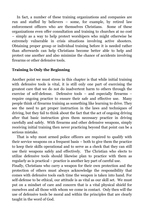In fact, a number of these training organizations and companies are run and staffed by believers – some, for example, by retired law enforcement officers who are themselves Christians. Some of these organizations even offer consultation and training to churches at no cost – simply as a way to help protect worshipers who might otherwise be extremely vulnerable in crisis situations involving active shooters. Obtaining proper group or individual training before it is needed rather than afterwards can help Christians become better able to help and protect one another and also minimize the chance of accidents involving firearms or other defensive tools.

#### **Training Is Only the Beginning**

Another point we must stress in this chapter is that while initial training with defensive tools is vital, it is still only one part of exercising the greatest care that we do not do inadvertent harm to others through the exercise of self-defense. Defensive tools – and especially firearms – require ongoing practice to ensure their safe and effective use. Many people think of firearms training as something like learning to drive. They see the need to get proper instruction in the laws and techniques of driving, but they fail to think about the fact that the act of ongoing driving after that basic instruction gives them necessary practice in driving carefully and safely. With firearms and other defensive weapons, simply receiving initial training then never practicing beyond that point can be a serious mistake.

That is why most armed police officers are required to qualify with their service weapons on a frequent basis – both to give them the practice to keep their skills operational and to serve as a check that they can still use their weapons safely and effectively. The Christian who elects to utilize defensive tools should likewise plan to practice with them as regularly as is practical – practice is another key part of careful use.

Finally, Christians who carry a weapon for their own protection and the protection of others must always acknowledge the responsibility that comes with defensive tools each time the weapon is taken into hand. For self-defense to be ethical, our attitude is as vital as our skill set. We must put on a mindset of care and concern that is a vital physical shield for ourselves and all those with whom we come in contact. Only then will the use of defensive tools be moral and within the principles that are clearly taught in the word of God.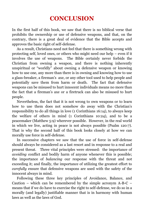## **CONCLUSION**

<span id="page-35-0"></span>In the first half of this book, we saw that there is no biblical verse that prohibits the ownership or use of defensive weapons, and that, on the contrary, there is a great deal of evidence that the Bible accepts and approves the basic right of self-defense.

As a result, Christians need not feel that there is something wrong with protecting self, loved ones, or others who might need our help – even if it involves the use of weapons. The Bible certainly never forbids the Christian from owning a weapon, and there is nothing inherently unspiritual or "worldly" about owning a defensive weapon or knowing how to use one, any more than there is in owning and knowing how to use a glass-breaker, a fireman's axe, or any other tool used to help people and potentially save them from harm or death. The fact that defensive weapons can be misused to hurt innocent individuals means no more than the fact that a fireman's axe or a firetruck can also be misused to hurt people.

Nevertheless, the fact that it is not wrong to own weapons or to learn how to use them does not somehow do away with the Christian's responsibility to do all things in love (1 Corinthians 16:14), to always keep the welfare of others in mind (1 Corinthians 10:24), and to be a peacemaker (Matthew 5:9) wherever possible. However, in the real world in which we live, acting in peace is not always possible (Psalm 120:7). That is why the second half of this book looks closely at how we can morally use force in self-defense.

In successive chapters we saw that the use of force in self-defense should always be considered as a last resort and in response to a real and present threat. Three vital principles were stressed: the importance of *avoiding* conflict and bodily harm of anyone whenever this is possible; the importance of *balancing* our response with the threat and not exceeding it; and finally, the importance of utilizing the greatest effort to *carefully* ensure that defensive weapons are used with the safety of the innocent always in mind.

Following these three key principles of Avoidance, Balance, and Caution – which can be remembered by the simple acronym  $A-B-C$  – means that if we do have to exercise the right to self-defense, we do so in a morally (and legally) justifiable manner that is in harmony with human laws as well as the laws of God.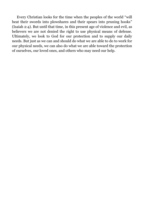Every Christian looks for the time when the peoples of the world "will beat their swords into plowshares and their spears into pruning hooks" (Isaiah 2:4). But until that time, in this present age of violence and evil, as believers we are not denied the right to use physical means of defense. Ultimately, we look to God for our protection and to supply our daily needs. But just as we can and should do what we are able to do to work for our physical needs, we can also do what we are able toward the protection of ourselves, our loved ones, and others who may need our help.